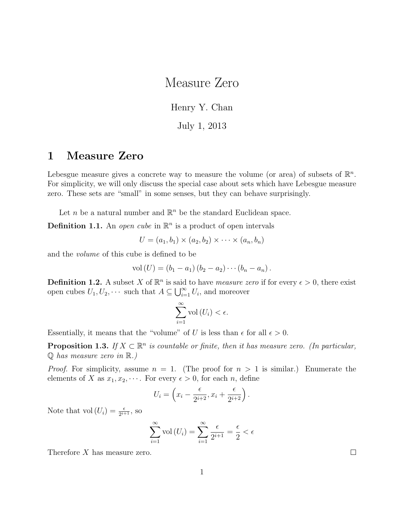## Measure Zero

Henry Y. Chan

July 1, 2013

## 1 Measure Zero

Lebesgue measure gives a concrete way to measure the volume (or area) of subsets of  $\mathbb{R}^n$ . For simplicity, we will only discuss the special case about sets which have Lebesgue measure zero. These sets are "small" in some senses, but they can behave surprisingly.

Let *n* be a natural number and  $\mathbb{R}^n$  be the standard Euclidean space.

**Definition 1.1.** An *open cube* in  $\mathbb{R}^n$  is a product of open intervals

$$
U = (a_1, b_1) \times (a_2, b_2) \times \cdots \times (a_n, b_n)
$$

and the volume of this cube is defined to be

$$
vol(U) = (b_1 - a_1) (b_2 - a_2) \cdots (b_n - a_n).
$$

**Definition 1.2.** A subset X of  $\mathbb{R}^n$  is said to have *measure zero* if for every  $\epsilon > 0$ , there exist open cubes  $U_1, U_2, \cdots$  such that  $A \subseteq \bigcup_{i=1}^{\infty} U_i$ , and moreover

$$
\sum_{i=1}^{\infty} \text{vol}\left(U_i\right) < \epsilon.
$$

Essentially, it means that the "volume" of U is less than  $\epsilon$  for all  $\epsilon > 0$ .

**Proposition 1.3.** If  $X \subset \mathbb{R}^n$  is countable or finite, then it has measure zero. (In particular,  $\mathbb Q$  has measure zero in  $\mathbb R$ .)

*Proof.* For simplicity, assume  $n = 1$ . (The proof for  $n > 1$  is similar.) Enumerate the elements of X as  $x_1, x_2, \cdots$ . For every  $\epsilon > 0$ , for each n, define

$$
U_i = \left(x_i - \frac{\epsilon}{2^{i+2}}, x_i + \frac{\epsilon}{2^{i+2}}\right).
$$

Note that  $\text{vol}(U_i) = \frac{\epsilon}{2^{i+1}},$  so

$$
\sum_{i=1}^{\infty} \text{vol}\left(U_i\right) = \sum_{i=1}^{\infty} \frac{\epsilon}{2^{i+1}} = \frac{\epsilon}{2} < \epsilon
$$

Therefore X has measure zero.

 $\Box$